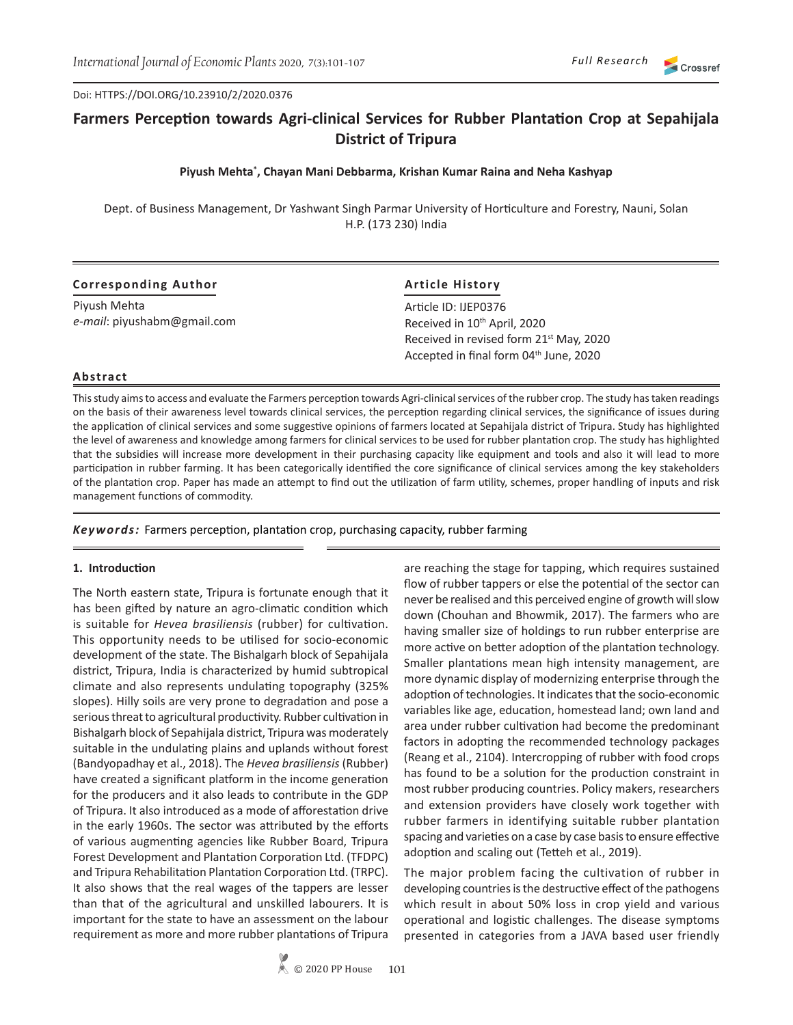Doi: HTTPS://DOI.ORG/10.23910/2/2020.0376

# **Farmers Perception towards Agri-clinical Services for Rubber Plantation Crop at Sepahijala District of Tripura**

### **Piyush Mehta\* , Chayan Mani Debbarma, Krishan Kumar Raina and Neha Kashyap**

Dept. of Business Management, Dr Yashwant Singh Parmar University of Horticulture and Forestry, Nauni, Solan H.P. (173 230) India

| Corresponding Author        | <b>Article History</b>                                                                                    |  |  |  |
|-----------------------------|-----------------------------------------------------------------------------------------------------------|--|--|--|
| Piyush Mehta                | Article ID: IJEP0376                                                                                      |  |  |  |
| e-mail: piyushabm@gmail.com | Received in 10 <sup>th</sup> April, 2020                                                                  |  |  |  |
|                             | Received in revised form 21 <sup>st</sup> May, 2020<br>Accepted in final form 04 <sup>th</sup> June, 2020 |  |  |  |

### **Abstract**

This study aims to access and evaluate the Farmers perception towards Agri-clinical services of the rubber crop. The study has taken readings on the basis of their awareness level towards clinical services, the perception regarding clinical services, the significance of issues during the application of clinical services and some suggestive opinions of farmers located at Sepahijala district of Tripura. Study has highlighted the level of awareness and knowledge among farmers for clinical services to be used for rubber plantation crop. The study has highlighted that the subsidies will increase more development in their purchasing capacity like equipment and tools and also it will lead to more participation in rubber farming. It has been categorically identified the core significance of clinical services among the key stakeholders of the plantation crop. Paper has made an attempt to find out the utilization of farm utility, schemes, proper handling of inputs and risk management functions of commodity.

*Keywords:* Farmers perception, plantation crop, purchasing capacity, rubber farming

#### **1. Introduction**

The North eastern state, Tripura is fortunate enough that it has been gifted by nature an agro-climatic condition which is suitable for *Hevea brasiliensis* (rubber) for cultivation. This opportunity needs to be utilised for socio-economic development of the state. The Bishalgarh block of Sepahijala district, Tripura, India is characterized by humid subtropical climate and also represents undulating topography (325% slopes). Hilly soils are very prone to degradation and pose a serious threat to agricultural productivity. Rubber cultivation in Bishalgarh block of Sepahijala district, Tripura was moderately suitable in the undulating plains and uplands without forest (Bandyopadhay et al., 2018). The *Hevea brasiliensis* (Rubber) have created a significant platform in the income generation for the producers and it also leads to contribute in the GDP of Tripura. It also introduced as a mode of afforestation drive in the early 1960s. The sector was attributed by the efforts of various augmenting agencies like Rubber Board, Tripura Forest Development and Plantation Corporation Ltd. (TFDPC) and Tripura Rehabilitation Plantation Corporation Ltd. (TRPC). It also shows that the real wages of the tappers are lesser than that of the agricultural and unskilled labourers. It is important for the state to have an assessment on the labour requirement as more and more rubber plantations of Tripura

are reaching the stage for tapping, which requires sustained flow of rubber tappers or else the potential of the sector can never be realised and this perceived engine of growth will slow down (Chouhan and Bhowmik, 2017). The farmers who are having smaller size of holdings to run rubber enterprise are more active on better adoption of the plantation technology. Smaller plantations mean high intensity management, are more dynamic display of modernizing enterprise through the adoption of technologies. It indicates that the socio-economic variables like age, education, homestead land; own land and area under rubber cultivation had become the predominant factors in adopting the recommended technology packages (Reang et al., 2104). Intercropping of rubber with food crops has found to be a solution for the production constraint in most rubber producing countries. Policy makers, researchers and extension providers have closely work together with rubber farmers in identifying suitable rubber plantation spacing and varieties on a case by case basis to ensure effective adoption and scaling out (Tetteh et al., 2019).

The major problem facing the cultivation of rubber in developing countries is the destructive effect of the pathogens which result in about 50% loss in crop yield and various operational and logistic challenges. The disease symptoms presented in categories from a JAVA based user friendly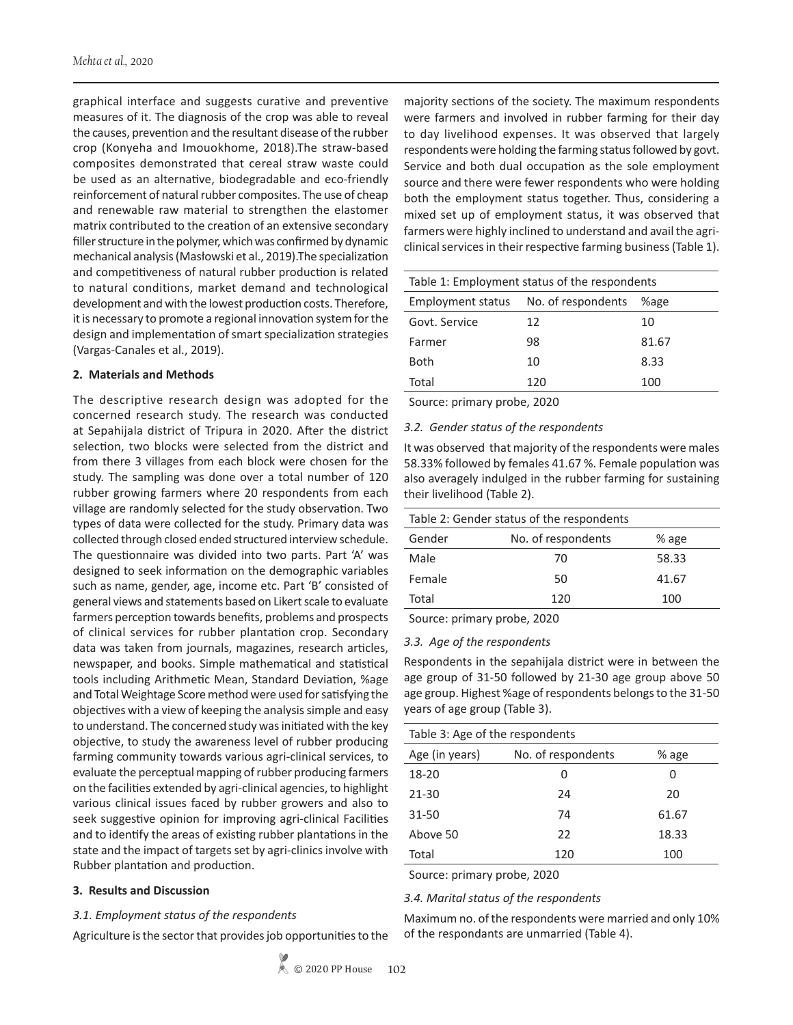graphical interface and suggests curative and preventive measures of it. The diagnosis of the crop was able to reveal the causes, prevention and the resultant disease of the rubber crop (Konyeha and Imouokhome, 2018).The straw-based composites demonstrated that cereal straw waste could be used as an alternative, biodegradable and eco-friendly reinforcement of natural rubber composites. The use of cheap and renewable raw material to strengthen the elastomer matrix contributed to the creation of an extensive secondary filler structure in the polymer, which was confirmed by dynamic mechanical analysis (Masłowski et al., 2019).The specialization and competitiveness of natural rubber production is related to natural conditions, market demand and technological development and with the lowest production costs. Therefore, it is necessary to promote a regional innovation system for the design and implementation of smart specialization strategies (Vargas-Canales et al., 2019).

### **2. Materials and Methods**

The descriptive research design was adopted for the concerned research study. The research was conducted at Sepahijala district of Tripura in 2020. After the district selection, two blocks were selected from the district and from there 3 villages from each block were chosen for the study. The sampling was done over a total number of 120 rubber growing farmers where 20 respondents from each village are randomly selected for the study observation. Two types of data were collected for the study. Primary data was collected through closed ended structured interview schedule. The questionnaire was divided into two parts. Part 'A' was designed to seek information on the demographic variables such as name, gender, age, income etc. Part 'B' consisted of general views and statements based on Likert scale to evaluate farmers perception towards benefits, problems and prospects of clinical services for rubber plantation crop. Secondary data was taken from journals, magazines, research articles, newspaper, and books. Simple mathematical and statistical tools including Arithmetic Mean, Standard Deviation, %age and Total Weightage Score method were used for satisfying the objectives with a view of keeping the analysis simple and easy to understand. The concerned study was initiated with the key objective, to study the awareness level of rubber producing farming community towards various agri-clinical services, to evaluate the perceptual mapping of rubber producing farmers on the facilities extended by agri-clinical agencies, to highlight various clinical issues faced by rubber growers and also to seek suggestive opinion for improving agri-clinical Facilities and to identify the areas of existing rubber plantations in the state and the impact of targets set by agri-clinics involve with Rubber plantation and production.

#### **3. Results and Discussion**

#### *3.1. Employment status of the respondents*

Agriculture is the sector that provides job opportunities to the

majority sections of the society. The maximum respondents were farmers and involved in rubber farming for their day to day livelihood expenses. It was observed that largely respondents were holding the farming status followed by govt. Service and both dual occupation as the sole employment source and there were fewer respondents who were holding both the employment status together. Thus, considering a mixed set up of employment status, it was observed that farmers were highly inclined to understand and avail the agriclinical services in their respective farming business (Table 1).

| Table 1: Employment status of the respondents |                    |       |  |
|-----------------------------------------------|--------------------|-------|--|
| Employment status                             | No. of respondents | %age  |  |
| Govt. Service                                 | 12                 | 10    |  |
| Farmer                                        | 98                 | 81.67 |  |
| Both                                          | 10                 | 8.33  |  |
| Total                                         | 120                | 100   |  |

Source: primary probe, 2020

#### *3.2. Gender status of the respondents*

It was observed that majority of the respondents were males 58.33% followed by females 41.67 %. Female population was also averagely indulged in the rubber farming for sustaining their livelihood (Table 2).

| Table 2: Gender status of the respondents |       |  |  |
|-------------------------------------------|-------|--|--|
| No. of respondents                        | % age |  |  |
| 70                                        | 58.33 |  |  |
| 50                                        | 41.67 |  |  |
| 120                                       | 100   |  |  |
|                                           |       |  |  |

Source: primary probe, 2020

*3.3. Age of the respondents*

Respondents in the sepahijala district were in between the age group of 31-50 followed by 21-30 age group above 50 age group. Highest %age of respondents belongs to the 31-50 years of age group (Table 3).

| Table 3: Age of the respondents |                    |       |  |  |
|---------------------------------|--------------------|-------|--|--|
| Age (in years)                  | No. of respondents | % age |  |  |
| 18-20                           | 0                  | Ω     |  |  |
| $21 - 30$                       | 24                 | 20    |  |  |
| 31-50                           | 74                 | 61.67 |  |  |
| Above 50                        | 22                 | 18.33 |  |  |
| Total                           | 120                | 100   |  |  |

Source: primary probe, 2020

### *3.4. Marital status of the respondents*

Maximum no. of the respondents were married and only 10% of the respondants are unmarried (Table 4).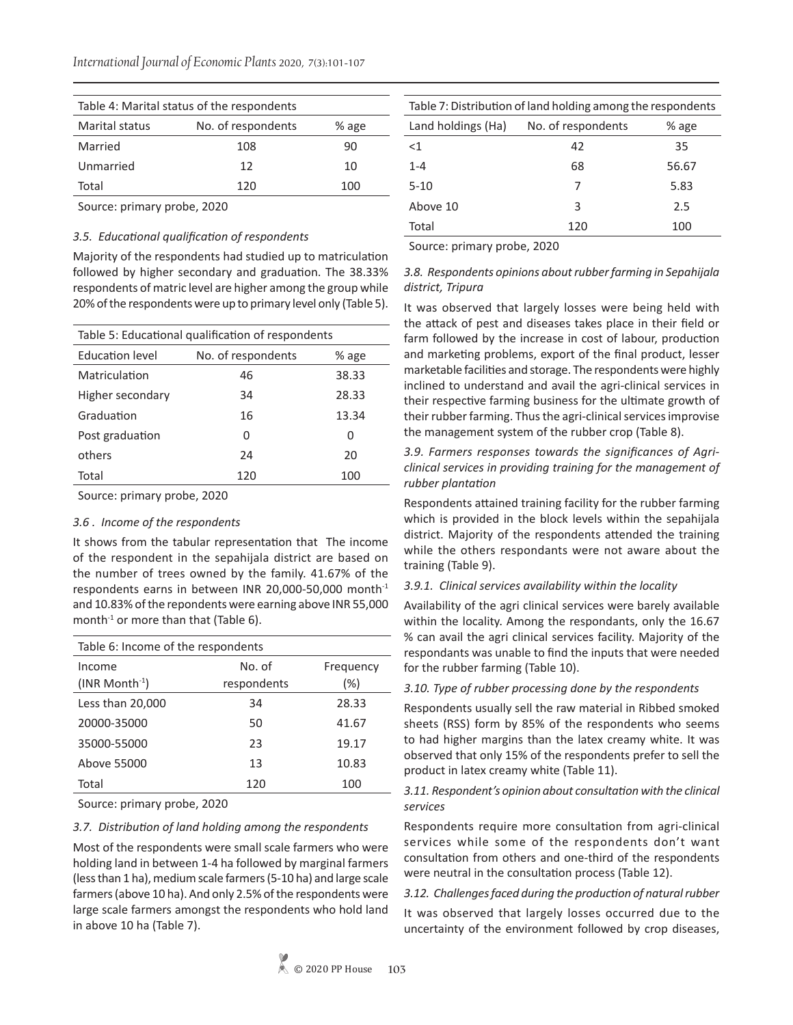| Table 4: Marital status of the respondents    |     |     |  |  |
|-----------------------------------------------|-----|-----|--|--|
| No. of respondents<br>Marital status<br>% age |     |     |  |  |
| Married                                       | 108 | 90  |  |  |
| Unmarried                                     | 12  | 10  |  |  |
| Total                                         | 120 | 100 |  |  |

Source: primary probe, 2020

# *3.5. Educational qualification of respondents*

Majority of the respondents had studied up to matriculation followed by higher secondary and graduation. The 38.33% respondents of matric level are higher among the group while 20% of the respondents were up to primary level only (Table 5).

| Table 5: Educational qualification of respondents |     |       |  |  |
|---------------------------------------------------|-----|-------|--|--|
| No. of respondents<br>Education level<br>% age    |     |       |  |  |
| Matriculation                                     | 46  | 38.33 |  |  |
| Higher secondary                                  | 34  | 28.33 |  |  |
| Graduation                                        | 16  | 13.34 |  |  |
| Post graduation                                   | O   | 0     |  |  |
| others                                            | 24  | 20    |  |  |
| Total                                             | 120 | 100   |  |  |

Source: primary probe, 2020

# *3.6 . Income of the respondents*

It shows from the tabular representation that The income of the respondent in the sepahijala district are based on the number of trees owned by the family. 41.67% of the respondents earns in between INR 20,000-50,000 month-1 and 10.83% of the repondents were earning above INR 55,000 month $^{-1}$  or more than that (Table 6).

| Table 6: Income of the respondents |             |           |  |  |
|------------------------------------|-------------|-----------|--|--|
| Income                             | No. of      | Frequency |  |  |
| $(INR Month-1)$                    | respondents | $(\% )$   |  |  |
| Less than 20,000                   | 34          | 28.33     |  |  |
| 20000-35000                        | 50          | 41.67     |  |  |
| 35000-55000                        | 23          | 19.17     |  |  |
| Above 55000                        | 13          | 10.83     |  |  |
| Total                              | 120         | 100       |  |  |

Source: primary probe, 2020

# *3.7. Distribution of land holding among the respondents*

Most of the respondents were small scale farmers who were holding land in between 1-4 ha followed by marginal farmers (less than 1 ha), medium scale farmers (5-10 ha) and large scale farmers (above 10 ha). And only 2.5% of the respondents were large scale farmers amongst the respondents who hold land in above 10 ha (Table 7).

| Table 7: Distribution of land holding among the respondents |                    |       |  |
|-------------------------------------------------------------|--------------------|-------|--|
| Land holdings (Ha)                                          | No. of respondents | % age |  |
| $<$ 1                                                       | 42                 | 35    |  |
| $1 - 4$                                                     | 68                 | 56.67 |  |
| $5 - 10$                                                    |                    | 5.83  |  |
| Above 10                                                    | 3                  | 2.5   |  |
| Total                                                       | 120                | 100   |  |

Source: primary probe, 2020

# *3.8. Respondents opinions about rubber farming in Sepahijala district, Tripura*

It was observed that largely losses were being held with the attack of pest and diseases takes place in their field or farm followed by the increase in cost of labour, production and marketing problems, export of the final product, lesser marketable facilities and storage. The respondents were highly inclined to understand and avail the agri-clinical services in their respective farming business for the ultimate growth of their rubber farming. Thus the agri-clinical services improvise the management system of the rubber crop (Table 8).

# *3.9. Farmers responses towards the significances of Agriclinical services in providing training for the management of rubber plantation*

Respondents attained training facility for the rubber farming which is provided in the block levels within the sepahijala district. Majority of the respondents attended the training while the others respondants were not aware about the training (Table 9).

# *3.9.1. Clinical services availability within the locality*

Availability of the agri clinical services were barely available within the locality. Among the respondants, only the 16.67 % can avail the agri clinical services facility. Majority of the respondants was unable to find the inputs that were needed for the rubber farming (Table 10).

# *3.10. Type of rubber processing done by the respondents*

Respondents usually sell the raw material in Ribbed smoked sheets (RSS) form by 85% of the respondents who seems to had higher margins than the latex creamy white. It was observed that only 15% of the respondents prefer to sell the product in latex creamy white (Table 11).

# *3.11. Respondent's opinion about consultation with the clinical services*

Respondents require more consultation from agri-clinical services while some of the respondents don't want consultation from others and one-third of the respondents were neutral in the consultation process (Table 12).

# *3.12. Challenges faced during the production of natural rubber*

It was observed that largely losses occurred due to the uncertainty of the environment followed by crop diseases,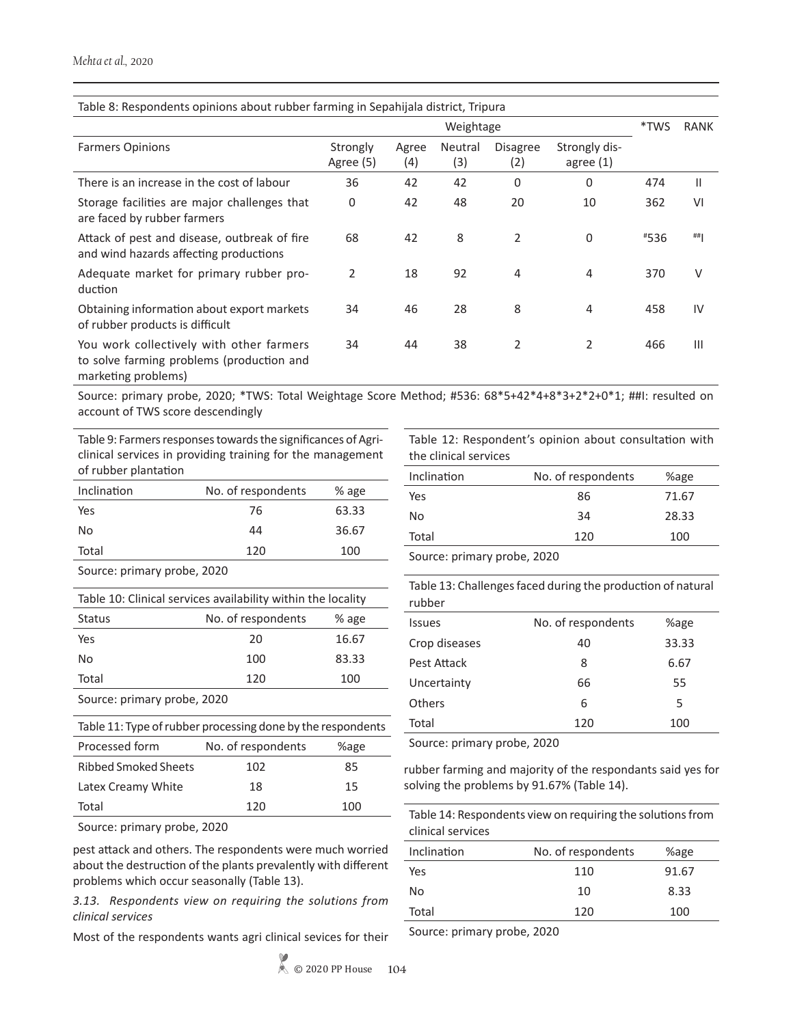| Table 8: Respondents opinions about rubber farming in Sepahijala district, Tripura                           |                       |              |                |                        |                              |             |     |
|--------------------------------------------------------------------------------------------------------------|-----------------------|--------------|----------------|------------------------|------------------------------|-------------|-----|
|                                                                                                              | Weightage             |              |                |                        | *TWS                         | <b>RANK</b> |     |
| <b>Farmers Opinions</b>                                                                                      | Strongly<br>Agree (5) | Agree<br>(4) | Neutral<br>(3) | <b>Disagree</b><br>(2) | Strongly dis-<br>agree $(1)$ |             |     |
| There is an increase in the cost of labour                                                                   | 36                    | 42           | 42             | $\Omega$               | $\Omega$                     | 474         | Ш   |
| Storage facilities are major challenges that<br>are faced by rubber farmers                                  | 0                     | 42           | 48             | 20                     | 10                           | 362         | VI  |
| Attack of pest and disease, outbreak of fire<br>and wind hazards affecting productions                       | 68                    | 42           | 8              | 2                      | $\mathbf 0$                  | #536        | ##  |
| Adequate market for primary rubber pro-<br>duction                                                           | 2                     | 18           | 92             | 4                      | 4                            | 370         | V   |
| Obtaining information about export markets<br>of rubber products is difficult                                | 34                    | 46           | 28             | 8                      | $\overline{4}$               | 458         | IV  |
| You work collectively with other farmers<br>to solve farming problems (production and<br>marketing problems) | 34                    | 44           | 38             | 2                      | 2                            | 466         | III |

Source: primary probe, 2020; \*TWS: Total Weightage Score Method; #536: 68\*5+42\*4+8\*3+2\*2+0\*1; ##I: resulted on account of TWS score descendingly

Table 9: Farmers responses towards the significances of Agriclinical services in providing training for the management

|  | Table 12: Respondent's opinion about consultation with |  |  |
|--|--------------------------------------------------------|--|--|
|  | the clinical centices                                  |  |  |

| of rubber plantation |                    |       |
|----------------------|--------------------|-------|
| Inclination          | No. of respondents | % age |
| Yes                  | 76                 | 63.33 |
| No                   | 44                 | 36.67 |
| Total                | 120                | 100   |

Source: primary probe, 2020

| Table 10: Clinical services availability within the locality |                    |       |  |
|--------------------------------------------------------------|--------------------|-------|--|
| <b>Status</b>                                                | No. of respondents | % age |  |
| Yes                                                          | 20                 | 16.67 |  |
| No                                                           | 100                | 83.33 |  |
| Total                                                        | 120                | 100   |  |
| Cource primary probo 2020                                    |                    |       |  |

Source: primary probe, 2020

| Table 11: Type of rubber processing done by the respondents |                    |      |  |  |  |
|-------------------------------------------------------------|--------------------|------|--|--|--|
| Processed form                                              | No. of respondents | %age |  |  |  |
| <b>Ribbed Smoked Sheets</b>                                 | 102                | 85   |  |  |  |
| Latex Creamy White                                          | 18                 | 15   |  |  |  |
| Total                                                       | 120                | 100  |  |  |  |

Source: primary probe, 2020

pest attack and others. The respondents were much worried about the destruction of the plants prevalently with different problems which occur seasonally (Table 13).

*3.13. Respondents view on requiring the solutions from clinical services*

Most of the respondents wants agri clinical sevices for their

the clinical services Inclination No. of respondents %age

| Total<br>100<br>120 |  |
|---------------------|--|
|                     |  |
| 28.33<br>No<br>34   |  |
| Yes<br>86<br>71.67  |  |

Source: primary probe, 2020

Table 13: Challenges faced during the production of natural rubber

| <b>Issues</b> | No. of respondents | %age  |  |
|---------------|--------------------|-------|--|
| Crop diseases | 40                 | 33.33 |  |
| Pest Attack   | 8                  | 6.67  |  |
| Uncertainty   | 66                 | 55    |  |
| Others        | 6                  | 5     |  |
| Total         | 120                | 100   |  |

Source: primary probe, 2020

rubber farming and majority of the respondants said yes for solving the problems by 91.67% (Table 14).

Table 14: Respondents view on requiring the solutions from clinical services

| Inclination | No. of respondents | %age  |
|-------------|--------------------|-------|
| Yes         | 110                | 91.67 |
| No          | 10                 | 8.33  |
| Total       | 120                | 100   |
|             |                    |       |

Source: primary probe, 2020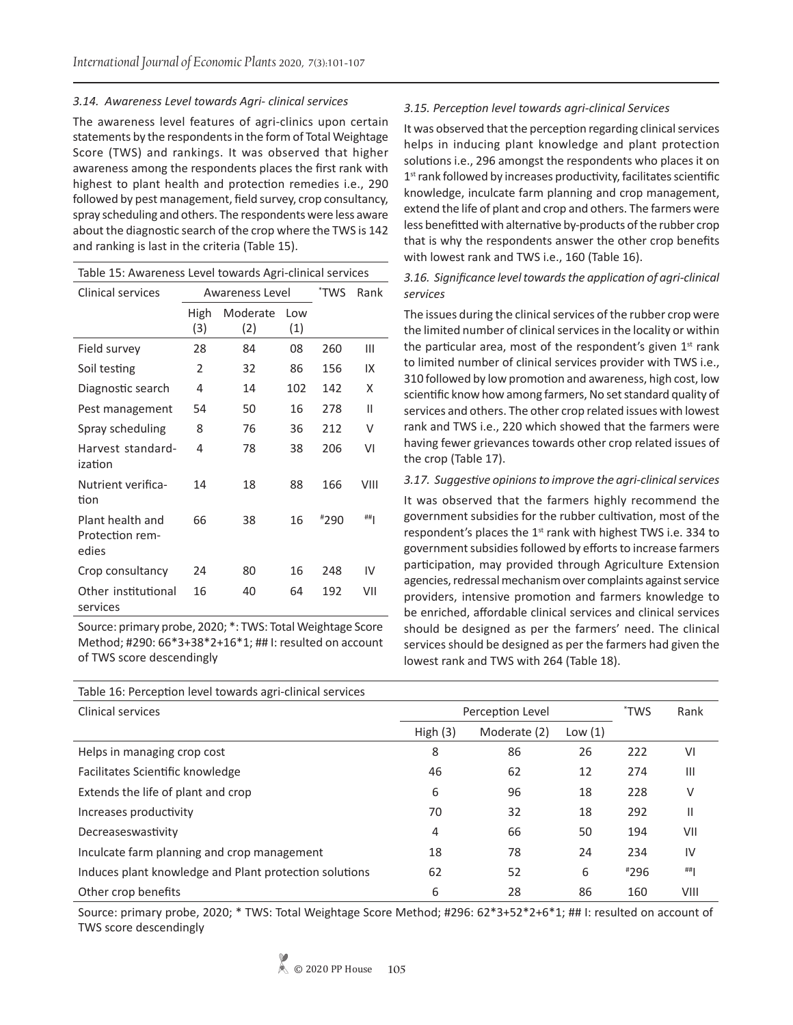# *3.14. Awareness Level towards Agri- clinical services*

The awareness level features of agri-clinics upon certain statements by the respondents in the form of Total Weightage Score (TWS) and rankings. It was observed that higher awareness among the respondents places the first rank with highest to plant health and protection remedies i.e., 290 followed by pest management, field survey, crop consultancy, spray scheduling and others. The respondents were less aware about the diagnostic search of the crop where the TWS is 142 and ranking is last in the criteria (Table 15).

| Table 15: Awareness Level towards Agri-clinical services |                 |          |     |      |      |  |
|----------------------------------------------------------|-----------------|----------|-----|------|------|--|
| Clinical services                                        | Awareness Level |          |     | *TWS | Rank |  |
|                                                          | High            | Moderate | Low |      |      |  |
|                                                          | (3)             | (2)      | (1) |      |      |  |
| Field survey                                             | 28              | 84       | 08  | 260  | Ш    |  |
| Soil testing                                             | 2               | 32       | 86  | 156  | IX   |  |
| Diagnostic search                                        | 4               | 14       | 102 | 142  | X    |  |
| Pest management                                          | 54              | 50       | 16  | 278  | Ш    |  |
| Spray scheduling                                         | 8               | 76       | 36  | 212  | v    |  |
| Harvest standard-<br>ization                             | 4               | 78       | 38  | 206  | VI   |  |
| Nutrient verifica-<br>tion                               | 14              | 18       | 88  | 166  | VIII |  |
| Plant health and<br>Protection rem-<br>edies             | 66              | 38       | 16  | #290 | ##   |  |
| Crop consultancy                                         | 24              | 80       | 16  | 248  | IV   |  |
| Other institutional<br>services                          | 16              | 40       | 64  | 192  | VII  |  |

Source: primary probe, 2020; \*: TWS: Total Weightage Score Method; #290: 66\*3+38\*2+16\*1; ## I: resulted on account of TWS score descendingly

# *3.15. Perception level towards agri-clinical Services*

It was observed that the perception regarding clinical services helps in inducing plant knowledge and plant protection solutions i.e., 296 amongst the respondents who places it on  $1<sup>st</sup>$  rank followed by increases productivity, facilitates scientific knowledge, inculcate farm planning and crop management, extend the life of plant and crop and others. The farmers were less benefitted with alternative by-products of the rubber crop that is why the respondents answer the other crop benefits with lowest rank and TWS i.e., 160 (Table 16).

# *3.16. Significance level towards the application of agri-clinical services*

The issues during the clinical services of the rubber crop were the limited number of clinical services in the locality or within the particular area, most of the respondent's given  $1<sup>st</sup>$  rank to limited number of clinical services provider with TWS i.e., 310 followed by low promotion and awareness, high cost, low scientific know how among farmers, No set standard quality of services and others. The other crop related issues with lowest rank and TWS i.e., 220 which showed that the farmers were having fewer grievances towards other crop related issues of the crop (Table 17).

# *3.17. Suggestive opinions to improve the agri-clinical services*

It was observed that the farmers highly recommend the government subsidies for the rubber cultivation, most of the respondent's places the  $1<sup>st</sup>$  rank with highest TWS i.e. 334 to government subsidies followed by efforts to increase farmers participation, may provided through Agriculture Extension agencies, redressal mechanism over complaints against service providers, intensive promotion and farmers knowledge to be enriched, affordable clinical services and clinical services should be designed as per the farmers' need. The clinical services should be designed as per the farmers had given the lowest rank and TWS with 264 (Table 18).

| Table 16: Perception level towards agri-clinical services |                  |              |           |        |                |
|-----------------------------------------------------------|------------------|--------------|-----------|--------|----------------|
| Clinical services                                         | Perception Level |              |           | *TWS   | Rank           |
|                                                           | High $(3)$       | Moderate (2) | Low $(1)$ |        |                |
| Helps in managing crop cost                               | 8                | 86           | 26        | 222    | VI             |
| Facilitates Scientific knowledge                          | 46               | 62           | 12        | 274    | $\mathbf{III}$ |
| Extends the life of plant and crop                        | 6                | 96           | 18        | 228    | ٧              |
| Increases productivity                                    | 70               | 32           | 18        | 292    | Ш              |
| Decreaseswastivity                                        | 4                | 66           | 50        | 194    | VII            |
| Inculcate farm planning and crop management               | 18               | 78           | 24        | 234    | IV             |
| Induces plant knowledge and Plant protection solutions    | 62               | 52           | 6         | $*296$ | ##             |
| Other crop benefits                                       | 6                | 28           | 86        | 160    | VIII           |

Source: primary probe, 2020; \* TWS: Total Weightage Score Method; #296: 62\*3+52\*2+6\*1; ## I: resulted on account of TWS score descendingly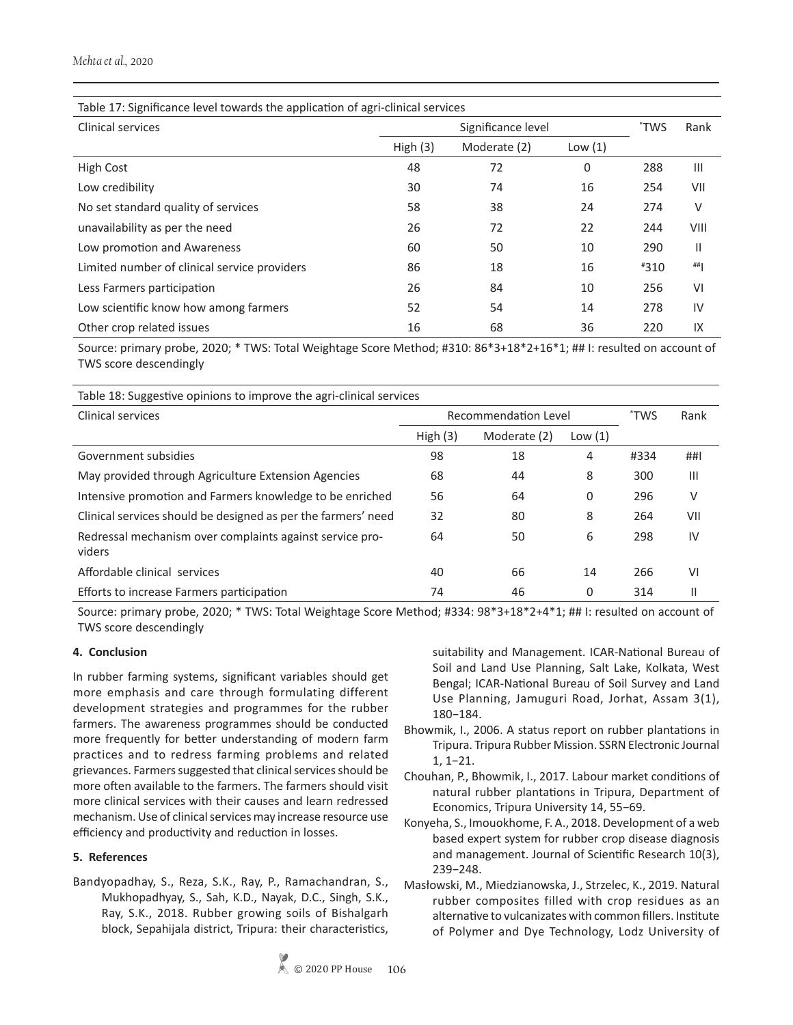# *Mehta et al.,* 2020

| Table 17: Significance level towards the application of agri-clinical services |            |              |           |        |      |
|--------------------------------------------------------------------------------|------------|--------------|-----------|--------|------|
| Clinical services<br>Significance level                                        |            |              |           | *TWS   | Rank |
|                                                                                | High $(3)$ | Moderate (2) | Low $(1)$ |        |      |
| <b>High Cost</b>                                                               | 48         | 72           | 0         | 288    | Ш    |
| Low credibility                                                                | 30         | 74           | 16        | 254    | VII  |
| No set standard quality of services                                            | 58         | 38           | 24        | 274    | V    |
| unavailability as per the need                                                 | 26         | 72           | 22        | 244    | VIII |
| Low promotion and Awareness                                                    | 60         | 50           | 10        | 290    | Ш    |
| Limited number of clinical service providers                                   | 86         | 18           | 16        | $*310$ | ##   |
| Less Farmers participation                                                     | 26         | 84           | 10        | 256    | VI   |
| Low scientific know how among farmers                                          | 52         | 54           | 14        | 278    | IV   |
| Other crop related issues                                                      | 16         | 68           | 36        | 220    | IX   |

Source: primary probe, 2020; \* TWS: Total Weightage Score Method; #310: 86\*3+18\*2+16\*1; ## I: resulted on account of TWS score descendingly

Table 18: Suggestive opinions to improve the agri-clinical services

| Clinical services                                                  | Recommendation Level |              |           | 'TWS | Rank           |
|--------------------------------------------------------------------|----------------------|--------------|-----------|------|----------------|
|                                                                    | High $(3)$           | Moderate (2) | Low $(1)$ |      |                |
| Government subsidies                                               | 98                   | 18           | 4         | #334 | ##1            |
| May provided through Agriculture Extension Agencies                | 68                   | 44           | 8         | 300  | Ш              |
| Intensive promotion and Farmers knowledge to be enriched           | 56                   | 64           | 0         | 296  | V              |
| Clinical services should be designed as per the farmers' need      | 32                   | 80           | 8         | 264  | VII            |
| Redressal mechanism over complaints against service pro-<br>viders | 64                   | 50           | 6         | 298  | IV             |
| Affordable clinical services                                       | 40                   | 66           | 14        | 266  | V <sub>1</sub> |
| Efforts to increase Farmers participation                          | 74                   | 46           | 0         | 314  | Ш              |

Source: primary probe, 2020; \* TWS: Total Weightage Score Method; #334: 98\*3+18\*2+4\*1; ## I: resulted on account of TWS score descendingly

# **4. Conclusion**

In rubber farming systems, significant variables should get more emphasis and care through formulating different development strategies and programmes for the rubber farmers. The awareness programmes should be conducted more frequently for better understanding of modern farm practices and to redress farming problems and related grievances. Farmers suggested that clinical services should be more often available to the farmers. The farmers should visit more clinical services with their causes and learn redressed mechanism. Use of clinical services may increase resource use efficiency and productivity and reduction in losses.

# **5. References**

Bandyopadhay, S., Reza, S.K., Ray, P., Ramachandran, S., Mukhopadhyay, S., Sah, K.D., Nayak, D.C., Singh, S.K., Ray, S.K., 2018. Rubber growing soils of Bishalgarh block, Sepahijala district, Tripura: their characteristics, suitability and Management. ICAR-National Bureau of Soil and Land Use Planning, Salt Lake, Kolkata, West Bengal; ICAR-National Bureau of Soil Survey and Land Use Planning, Jamuguri Road, Jorhat, Assam 3(1), 180−184.

- Bhowmik, I., 2006. A status report on rubber plantations in Tripura. Tripura Rubber Mission. SSRN Electronic Journal 1, 1−21.
- Chouhan, P., Bhowmik, I., 2017. Labour market conditions of natural rubber plantations in Tripura, Department of Economics, Tripura University 14, 55−69.
- Konyeha, S., Imouokhome, F. A., 2018. Development of a web based expert system for rubber crop disease diagnosis and management. Journal of Scientific Research 10(3), 239−248.
- Masłowski, M., Miedzianowska, J., Strzelec, K., 2019. Natural rubber composites filled with crop residues as an alternative to vulcanizates with common fillers. Institute of Polymer and Dye Technology, Lodz University of